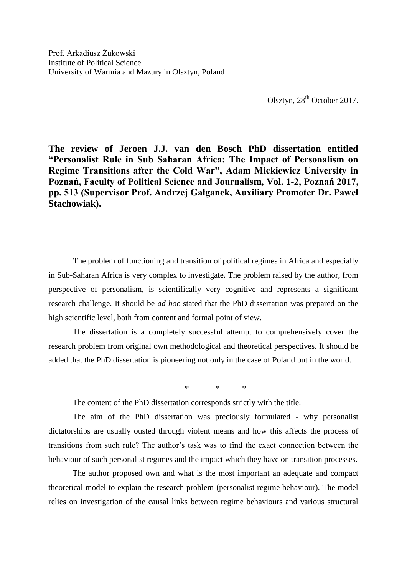Olsztyn, 28<sup>th</sup> October 2017.

**The review of Jeroen J.J. van den Bosch PhD dissertation entitled "Personalist Rule in Sub Saharan Africa: The Impact of Personalism on Regime Transitions after the Cold War", Adam Mickiewicz University in Poznań, Faculty of Political Science and Journalism, Vol. 1-2, Poznań 2017, pp. 513 (Supervisor Prof. Andrzej Gałganek, Auxiliary Promoter Dr. Paweł Stachowiak).**

The problem of functioning and transition of political regimes in Africa and especially in Sub-Saharan Africa is very complex to investigate. The problem raised by the author, from perspective of personalism, is scientifically very cognitive and represents a significant research challenge. It should be *ad hoc* stated that the PhD dissertation was prepared on the high scientific level, both from content and formal point of view.

The dissertation is a completely successful attempt to comprehensively cover the research problem from original own methodological and theoretical perspectives. It should be added that the PhD dissertation is pioneering not only in the case of Poland but in the world.

\* \* \*

The content of the PhD dissertation corresponds strictly with the title.

The aim of the PhD dissertation was preciously formulated - why personalist dictatorships are usually ousted through violent means and how this affects the process of transitions from such rule? The author's task was to find the exact connection between the behaviour of such personalist regimes and the impact which they have on transition processes.

The author proposed own and what is the most important an adequate and compact theoretical model to explain the research problem (personalist regime behaviour). The model relies on investigation of the causal links between regime behaviours and various structural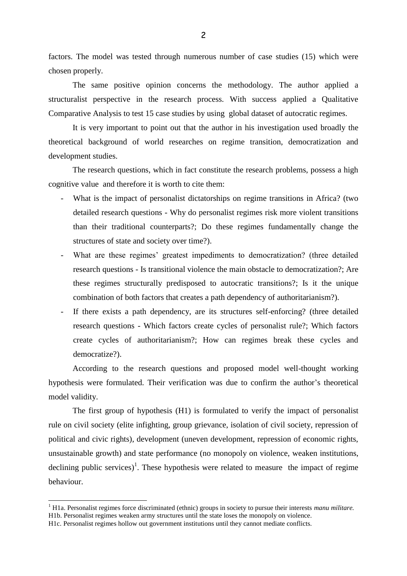factors. The model was tested through numerous number of case studies (15) which were chosen properly.

The same positive opinion concerns the methodology. The author applied a structuralist perspective in the research process. With success applied a Qualitative Comparative Analysis to test 15 case studies by using global dataset of autocratic regimes.

It is very important to point out that the author in his investigation used broadly the theoretical background of world researches on regime transition, democratization and development studies.

The research questions, which in fact constitute the research problems, possess a high cognitive value and therefore it is worth to cite them:

- What is the impact of personalist dictatorships on regime transitions in Africa? (two detailed research questions - Why do personalist regimes risk more violent transitions than their traditional counterparts?; Do these regimes fundamentally change the structures of state and society over time?).
- What are these regimes' greatest impediments to democratization? (three detailed research questions - Is transitional violence the main obstacle to democratization?; Are these regimes structurally predisposed to autocratic transitions?; Is it the unique combination of both factors that creates a path dependency of authoritarianism?).
- If there exists a path dependency, are its structures self-enforcing? (three detailed research questions - Which factors create cycles of personalist rule?; Which factors create cycles of authoritarianism?; How can regimes break these cycles and democratize?).

According to the research questions and proposed model well-thought working hypothesis were formulated. Their verification was due to confirm the author's theoretical model validity.

The first group of hypothesis (H1) is formulated to verify the impact of personalist rule on civil society (elite infighting, group grievance, isolation of civil society, repression of political and civic rights), development (uneven development, repression of economic rights, unsustainable growth) and state performance (no monopoly on violence, weaken institutions, declining public services)<sup>1</sup>. These hypothesis were related to measure the impact of regime behaviour.

<sup>&</sup>lt;sup>1</sup> H1a. Personalist regimes force discriminated (ethnic) groups in society to pursue their interests *manu militare*. H1b. Personalist regimes weaken army structures until the state loses the monopoly on violence.

H1c. Personalist regimes hollow out government institutions until they cannot mediate conflicts.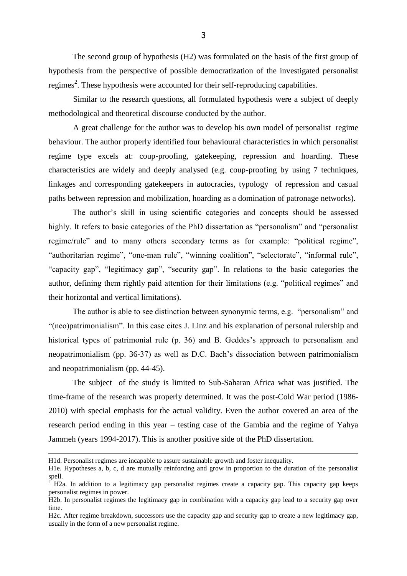The second group of hypothesis (H2) was formulated on the basis of the first group of hypothesis from the perspective of possible democratization of the investigated personalist regimes<sup>2</sup>. These hypothesis were accounted for their self-reproducing capabilities.

Similar to the research questions, all formulated hypothesis were a subject of deeply methodological and theoretical discourse conducted by the author.

A great challenge for the author was to develop his own model of personalist regime behaviour. The author properly identified four behavioural characteristics in which personalist regime type excels at: coup-proofing, gatekeeping, repression and hoarding. These characteristics are widely and deeply analysed (e.g. coup-proofing by using 7 techniques, linkages and corresponding gatekeepers in autocracies, typology of repression and casual paths between repression and mobilization, hoarding as a domination of patronage networks).

The author's skill in using scientific categories and concepts should be assessed highly. It refers to basic categories of the PhD dissertation as "personalism" and "personalist regime/rule" and to many others secondary terms as for example: "political regime", "authoritarian regime", "one-man rule", "winning coalition", "selectorate", "informal rule", "capacity gap", "legitimacy gap", "security gap". In relations to the basic categories the author, defining them rightly paid attention for their limitations (e.g. "political regimes" and their horizontal and vertical limitations).

The author is able to see distinction between synonymic terms, e.g. "personalism" and "(neo)patrimonialism". In this case cites J. Linz and his explanation of personal rulership and historical types of patrimonial rule (p. 36) and B. Geddes's approach to personalism and neopatrimonialism (pp. 36-37) as well as D.C. Bach's dissociation between patrimonialism and neopatrimonialism (pp. 44-45).

The subject of the study is limited to Sub-Saharan Africa what was justified. The time-frame of the research was properly determined. It was the post-Cold War period (1986- 2010) with special emphasis for the actual validity. Even the author covered an area of the research period ending in this year – testing case of the Gambia and the regime of Yahya Jammeh (years 1994-2017). This is another positive side of the PhD dissertation.

H1d. Personalist regimes are incapable to assure sustainable growth and foster inequality.

H1e. Hypotheses a, b, c, d are mutually reinforcing and grow in proportion to the duration of the personalist spell.

<sup>2</sup> H2a. In addition to a legitimacy gap personalist regimes create a capacity gap. This capacity gap keeps personalist regimes in power.

H2b. In personalist regimes the legitimacy gap in combination with a capacity gap lead to a security gap over time.

H2c. After regime breakdown, successors use the capacity gap and security gap to create a new legitimacy gap, usually in the form of a new personalist regime.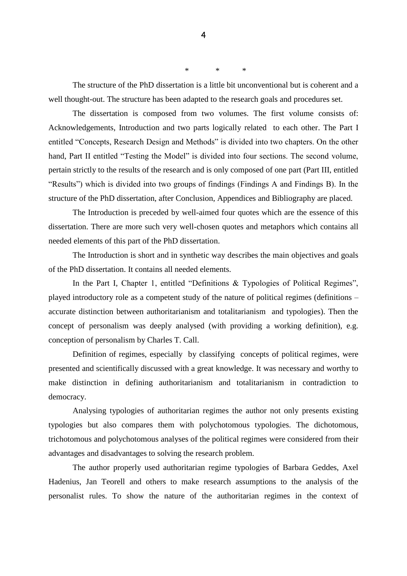The structure of the PhD dissertation is a little bit unconventional but is coherent and a well thought-out. The structure has been adapted to the research goals and procedures set.

\* \* \*

The dissertation is composed from two volumes. The first volume consists of: Acknowledgements, Introduction and two parts logically related to each other. The Part I entitled "Concepts, Research Design and Methods" is divided into two chapters. On the other hand, Part II entitled "Testing the Model" is divided into four sections. The second volume, pertain strictly to the results of the research and is only composed of one part (Part III, entitled "Results") which is divided into two groups of findings (Findings A and Findings B). In the structure of the PhD dissertation, after Conclusion, Appendices and Bibliography are placed.

The Introduction is preceded by well-aimed four quotes which are the essence of this dissertation. There are more such very well-chosen quotes and metaphors which contains all needed elements of this part of the PhD dissertation.

The Introduction is short and in synthetic way describes the main objectives and goals of the PhD dissertation. It contains all needed elements.

In the Part I, Chapter 1, entitled "Definitions & Typologies of Political Regimes", played introductory role as a competent study of the nature of political regimes (definitions – accurate distinction between authoritarianism and totalitarianism and typologies). Then the concept of personalism was deeply analysed (with providing a working definition), e.g. conception of personalism by Charles T. Call.

Definition of regimes, especially by classifying concepts of political regimes, were presented and scientifically discussed with a great knowledge. It was necessary and worthy to make distinction in defining authoritarianism and totalitarianism in contradiction to democracy.

Analysing typologies of authoritarian regimes the author not only presents existing typologies but also compares them with polychotomous typologies. The dichotomous, trichotomous and polychotomous analyses of the political regimes were considered from their advantages and disadvantages to solving the research problem.

The author properly used authoritarian regime typologies of Barbara Geddes, Axel Hadenius, Jan Teorell and others to make research assumptions to the analysis of the personalist rules. To show the nature of the authoritarian regimes in the context of

4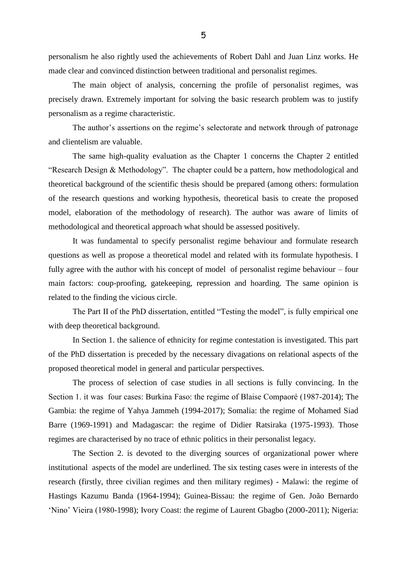personalism he also rightly used the achievements of Robert Dahl and Juan Linz works. He made clear and convinced distinction between traditional and personalist regimes.

The main object of analysis, concerning the profile of personalist regimes, was precisely drawn. Extremely important for solving the basic research problem was to justify personalism as a regime characteristic.

The author's assertions on the regime's selectorate and network through of patronage and clientelism are valuable.

The same high-quality evaluation as the Chapter 1 concerns the Chapter 2 entitled "Research Design & Methodology". The chapter could be a pattern, how methodological and theoretical background of the scientific thesis should be prepared (among others: formulation of the research questions and working hypothesis, theoretical basis to create the proposed model, elaboration of the methodology of research). The author was aware of limits of methodological and theoretical approach what should be assessed positively.

It was fundamental to specify personalist regime behaviour and formulate research questions as well as propose a theoretical model and related with its formulate hypothesis. I fully agree with the author with his concept of model of personalist regime behaviour – four main factors: coup-proofing, gatekeeping, repression and hoarding. The same opinion is related to the finding the vicious circle.

The Part II of the PhD dissertation, entitled "Testing the model", is fully empirical one with deep theoretical background.

In Section 1. the salience of ethnicity for regime contestation is investigated. This part of the PhD dissertation is preceded by the necessary divagations on relational aspects of the proposed theoretical model in general and particular perspectives.

The process of selection of case studies in all sections is fully convincing. In the Section 1. it was four cases: Burkina Faso: the regime of Blaise Compaoré (1987-2014); The Gambia: the regime of Yahya Jammeh (1994-2017); Somalia: the regime of Mohamed Siad Barre (1969-1991) and Madagascar: the regime of Didier Ratsiraka (1975-1993). Those regimes are characterised by no trace of ethnic politics in their personalist legacy.

The Section 2. is devoted to the diverging sources of organizational power where institutional aspects of the model are underlined. The six testing cases were in interests of the research (firstly, three civilian regimes and then military regimes) - Malawi: the regime of Hastings Kazumu Banda (1964-1994); Guinea-Bissau: the regime of Gen. João Bernardo 'Nino' Vieira (1980-1998); Ivory Coast: the regime of Laurent Gbagbo (2000-2011); Nigeria: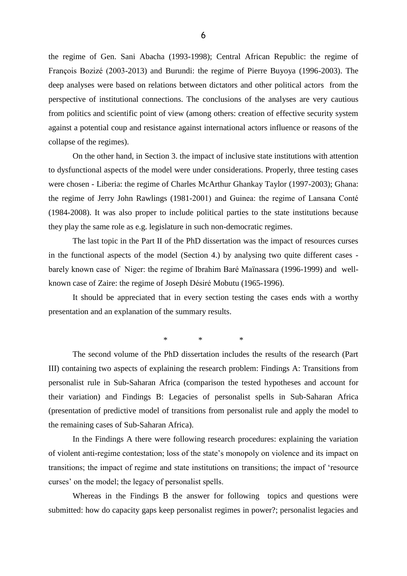the regime of Gen. Sani Abacha (1993-1998); Central African Republic: the regime of François Bozizé (2003-2013) and Burundi: the regime of Pierre Buyoya (1996-2003). The deep analyses were based on relations between dictators and other political actors from the perspective of institutional connections. The conclusions of the analyses are very cautious from politics and scientific point of view (among others: creation of effective security system against a potential coup and resistance against international actors influence or reasons of the collapse of the regimes).

On the other hand, in Section 3. the impact of inclusive state institutions with attention to dysfunctional aspects of the model were under considerations. Properly, three testing cases were chosen - Liberia: the regime of Charles McArthur Ghankay Taylor (1997-2003); Ghana: the regime of Jerry John Rawlings (1981-2001) and Guinea: the regime of Lansana Conté (1984-2008). It was also proper to include political parties to the state institutions because they play the same role as e.g. legislature in such non-democratic regimes.

The last topic in the Part II of the PhD dissertation was the impact of resources curses in the functional aspects of the model (Section 4.) by analysing two quite different cases barely known case of Niger: the regime of Ibrahim Baré Maïnassara (1996-1999) and wellknown case of Zaire: the regime of Joseph Désiré Mobutu (1965-1996).

It should be appreciated that in every section testing the cases ends with a worthy presentation and an explanation of the summary results.

\* \* \*

The second volume of the PhD dissertation includes the results of the research (Part III) containing two aspects of explaining the research problem: Findings A: Transitions from personalist rule in Sub-Saharan Africa (comparison the tested hypotheses and account for their variation) and Findings B: Legacies of personalist spells in Sub-Saharan Africa (presentation of predictive model of transitions from personalist rule and apply the model to the remaining cases of Sub-Saharan Africa).

In the Findings A there were following research procedures: explaining the variation of violent anti-regime contestation; loss of the state's monopoly on violence and its impact on transitions; the impact of regime and state institutions on transitions; the impact of 'resource curses' on the model; the legacy of personalist spells.

Whereas in the Findings B the answer for following topics and questions were submitted: how do capacity gaps keep personalist regimes in power?; personalist legacies and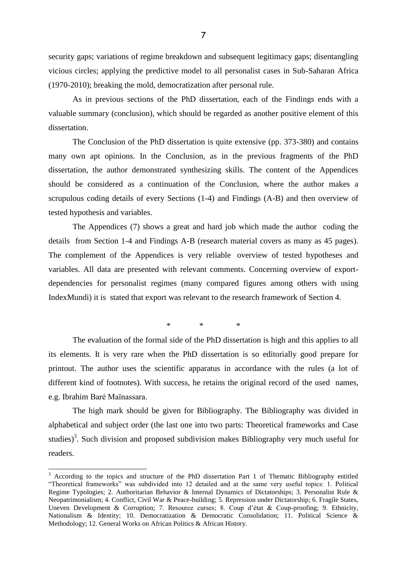security gaps; variations of regime breakdown and subsequent legitimacy gaps; disentangling vicious circles; applying the predictive model to all personalist cases in Sub-Saharan Africa (1970-2010); breaking the mold, democratization after personal rule.

As in previous sections of the PhD dissertation, each of the Findings ends with a valuable summary (conclusion), which should be regarded as another positive element of this dissertation.

The Conclusion of the PhD dissertation is quite extensive (pp. 373-380) and contains many own apt opinions. In the Conclusion, as in the previous fragments of the PhD dissertation, the author demonstrated synthesizing skills. The content of the Appendices should be considered as a continuation of the Conclusion, where the author makes a scrupulous coding details of every Sections (1-4) and Findings (A-B) and then overview of tested hypothesis and variables.

The Appendices (7) shows a great and hard job which made the author coding the details from Section 1-4 and Findings A-B (research material covers as many as 45 pages). The complement of the Appendices is very reliable overview of tested hypotheses and variables. All data are presented with relevant comments. Concerning overview of exportdependencies for personalist regimes (many compared figures among others with using IndexMundi) it is stated that export was relevant to the research framework of Section 4.

\* \* \*

The evaluation of the formal side of the PhD dissertation is high and this applies to all its elements. It is very rare when the PhD dissertation is so editorially good prepare for printout. The author uses the scientific apparatus in accordance with the rules (a lot of different kind of footnotes). With success, he retains the original record of the used names, e.g. Ibrahim Baré Maïnassara.

The high mark should be given for Bibliography. The Bibliography was divided in alphabetical and subject order (the last one into two parts: Theoretical frameworks and Case studies)<sup>3</sup>. Such division and proposed subdivision makes Bibliography very much useful for readers.

 $3$  According to the topics and structure of the PhD dissertation Part 1 of Thematic Bibliography entitled "Theoretical frameworks" was subdivided into 12 detailed and at the same very useful topics: 1. Political Regime Typologies; 2. Authoritarian Behavior & Internal Dynamics of Dictatorships; 3. Personalist Rule & Neopatrimonialism; 4. Conflict, Civil War & Peace-building; 5. Repression under Dictatorship; 6. Fragile States, Uneven Development & Corruption; 7. Resource curses; 8. Coup d'état & Coup-proofing; 9. Ethnicity, Nationalism & Identity; 10. Democratization & Democratic Consolidation; 11. Political Science & Methodology; 12. General Works on African Politics & African History.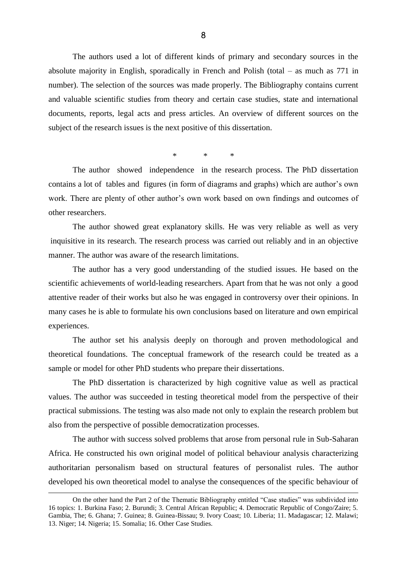The authors used a lot of different kinds of primary and secondary sources in the absolute majority in English, sporadically in French and Polish (total – as much as 771 in number). The selection of the sources was made properly. The Bibliography contains current and valuable scientific studies from theory and certain case studies, state and international documents, reports, legal acts and press articles. An overview of different sources on the subject of the research issues is the next positive of this dissertation.

\* \* \*

The author showed independence in the research process. The PhD dissertation contains a lot of tables and figures (in form of diagrams and graphs) which are author's own work. There are plenty of other author's own work based on own findings and outcomes of other researchers.

The author showed great explanatory skills. He was very reliable as well as very inquisitive in its research. The research process was carried out reliably and in an objective manner. The author was aware of the research limitations.

The author has a very good understanding of the studied issues. He based on the scientific achievements of world-leading researchers. Apart from that he was not only a good attentive reader of their works but also he was engaged in controversy over their opinions. In many cases he is able to formulate his own conclusions based on literature and own empirical experiences.

The author set his analysis deeply on thorough and proven methodological and theoretical foundations. The conceptual framework of the research could be treated as a sample or model for other PhD students who prepare their dissertations.

The PhD dissertation is characterized by high cognitive value as well as practical values. The author was succeeded in testing theoretical model from the perspective of their practical submissions. The testing was also made not only to explain the research problem but also from the perspective of possible democratization processes.

The author with success solved problems that arose from personal rule in Sub-Saharan Africa. He constructed his own original model of political behaviour analysis characterizing authoritarian personalism based on structural features of personalist rules. The author developed his own theoretical model to analyse the consequences of the specific behaviour of

l

On the other hand the Part 2 of the Thematic Bibliography entitled "Case studies" was subdivided into 16 topics: 1. Burkina Faso; 2. Burundi; 3. Central African Republic; 4. Democratic Republic of Congo/Zaire; 5. Gambia, The; 6. Ghana; 7. Guinea; 8. Guinea-Bissau; 9. Ivory Coast; 10. Liberia; 11. Madagascar; 12. Malawi; 13. Niger; 14. Nigeria; 15. Somalia; 16. Other Case Studies.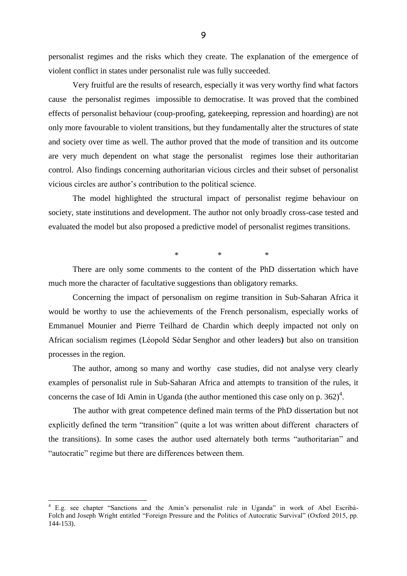personalist regimes and the risks which they create. The explanation of the emergence of violent conflict in states under personalist rule was fully succeeded.

Very fruitful are the results of research, especially it was very worthy find what factors cause the personalist regimes impossible to democratise. It was proved that the combined effects of personalist behaviour (coup-proofing, gatekeeping, repression and hoarding) are not only more favourable to violent transitions, but they fundamentally alter the structures of state and society over time as well. The author proved that the mode of transition and its outcome are very much dependent on what stage the personalist regimes lose their authoritarian control. Also findings concerning authoritarian vicious circles and their subset of personalist vicious circles are author's contribution to the political science.

The model highlighted the structural impact of personalist regime behaviour on society, state institutions and development. The author not only broadly cross-case tested and evaluated the model but also proposed a predictive model of personalist regimes transitions.

\* \* \*

There are only some comments to the content of the PhD dissertation which have much more the character of facultative suggestions than obligatory remarks.

Concerning the impact of personalism on regime transition in Sub-Saharan Africa it would be worthy to use the achievements of the French personalism, especially works of Emmanuel Mounier and Pierre Teilhard de Chardin which deeply impacted not only on African socialism regimes (Léopold Sédar Senghor and other leaders**)** but also on transition processes in the region.

The author, among so many and worthy case studies, did not analyse very clearly examples of personalist rule in Sub-Saharan Africa and attempts to transition of the rules, it concerns the case of Idi Amin in Uganda (the author mentioned this case only on p.  $362)^4$ .

The author with great competence defined main terms of the PhD dissertation but not explicitly defined the term "transition" (quite a lot was written about different characters of the transitions). In some cases the author used alternately both terms "authoritarian" and "autocratic" regime but there are differences between them.

<sup>&</sup>lt;sup>4</sup> E.g. see chapter "Sanctions and the Amin's personalist rule in Uganda" in work of Abel Escribà-Folch and Joseph Wright entitled "Foreign Pressure and the Politics of Autocratic Survival" (Oxford 2015, pp. 144-153).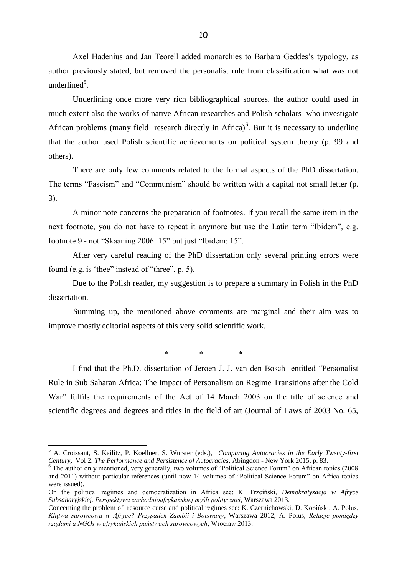Axel Hadenius and Jan Teorell added monarchies to Barbara Geddes's typology, as author previously stated, but removed the personalist rule from classification what was not underlined<sup>5</sup>.

Underlining once more very rich bibliographical sources, the author could used in much extent also the works of native African researches and Polish scholars who investigate African problems (many field research directly in Africa)<sup>6</sup>. But it is necessary to underline that the author used Polish scientific achievements on political system theory (p. 99 and others).

There are only few comments related to the formal aspects of the PhD dissertation. The terms "Fascism" and "Communism" should be written with a capital not small letter (p. 3).

A minor note concerns the preparation of footnotes. If you recall the same item in the next footnote, you do not have to repeat it anymore but use the Latin term "Ibidem", e.g. footnote 9 - not "Skaaning 2006: 15" but just "Ibidem: 15".

After very careful reading of the PhD dissertation only several printing errors were found (e.g. is 'thee" instead of "three", p. 5).

Due to the Polish reader, my suggestion is to prepare a summary in Polish in the PhD dissertation.

Summing up, the mentioned above comments are marginal and their aim was to improve mostly editorial aspects of this very solid scientific work.

\* \* \*

I find that the Ph.D. dissertation of Jeroen J. J. van den Bosch entitled "Personalist Rule in Sub Saharan Africa: The Impact of Personalism on Regime Transitions after the Cold War" fulfils the requirements of the Act of 14 March 2003 on the title of science and scientific degrees and degrees and titles in the field of art (Journal of Laws of 2003 No. 65,

l

<sup>5</sup> A. Croissant, S. Kailitz, P. Koellner, S. Wurster (eds.), *Comparing Autocracies in the Early Twenty-first Century***,** Vol 2: *The Performance and Persistence of Autocracies*, Abingdon - New York 2015, p. 83.

<sup>&</sup>lt;sup>6</sup> The author only mentioned, very generally, two volumes of "Political Science Forum" on African topics (2008) and 2011) without particular references (until now 14 volumes of "Political Science Forum" on Africa topics were issued).

On the political regimes and democratization in Africa see: K. Trzciński, *Demokratyzacja w Afryce Subsaharyjskiej. Perspektywa zachodnioafrykańskiej myśli politycznej*, Warszawa 2013.

Concerning the problem of resource curse and political regimes see: K. Czernichowski, D. Kopiński, A. Polus, *Klątwa surowcowa w Afryce? Przypadek Zambii i Botswany*, Warszawa 2012; A. Polus, *Relacje pomiędzy rządami a NGOs w afrykańskich państwach surowcowych*, Wrocław 2013.